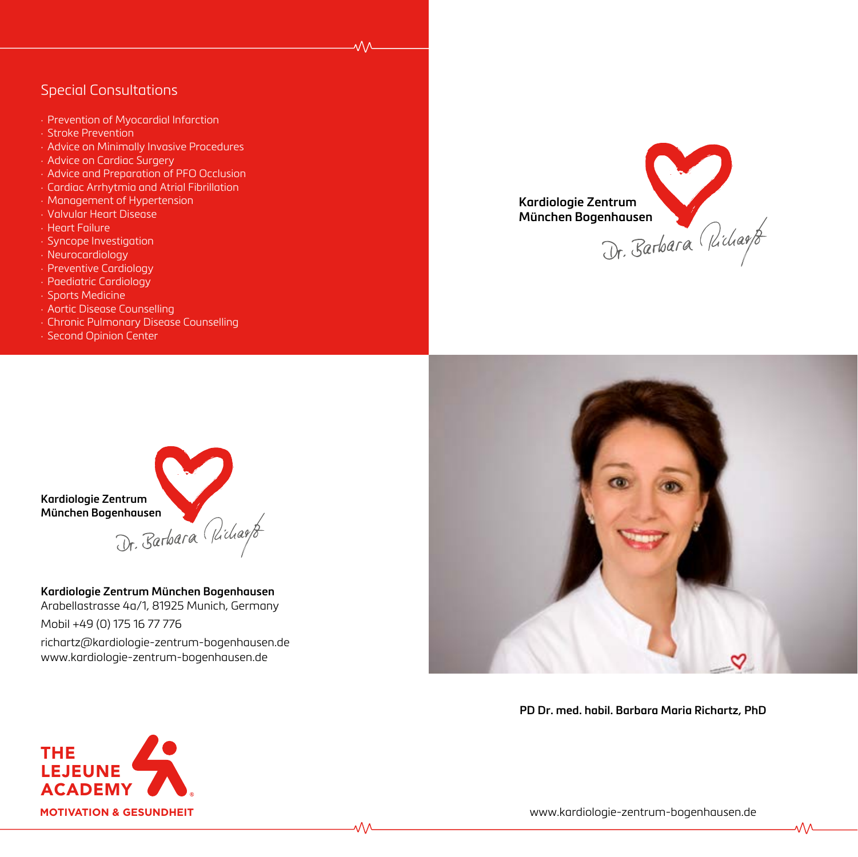# Special Consultations

- · Prevention of Myocardial Infarction
- · Stroke Prevention
- · Advice on Minimally Invasive Procedures
- · Advice on Cardiac Surgery
- · Advice and Preparation of PFO Occlusion
- · Cardiac Arrhytmia and Atrial Fibrillation
- · Management of Hypertension
- · Valvular Heart Disease
- · Heart Failure
- · Syncope Investigation
- · Neurocardiology
- · Preventive Cardiology
- · Paediatric Cardiology
- · Sports Medicine
- · Aortic Disease Counselling
- · Chronic Pulmonary Disease Counselling
- · Second Opinion Center





**Kardiologie Zentrum München Bogenhausen** Arabellastrasse 4a/1, 81925 Munich, Germany Mobil +49 (0) 175 16 77 776

richartz@kardiologie-zentrum-bogenhausen.de www.kardiologie-zentrum-bogenhausen.de

᠕᠕



**PD Dr. med. habil. Barbara Maria Richartz, PhD**



www.kardiologie-zentrum-bogenhausen.de